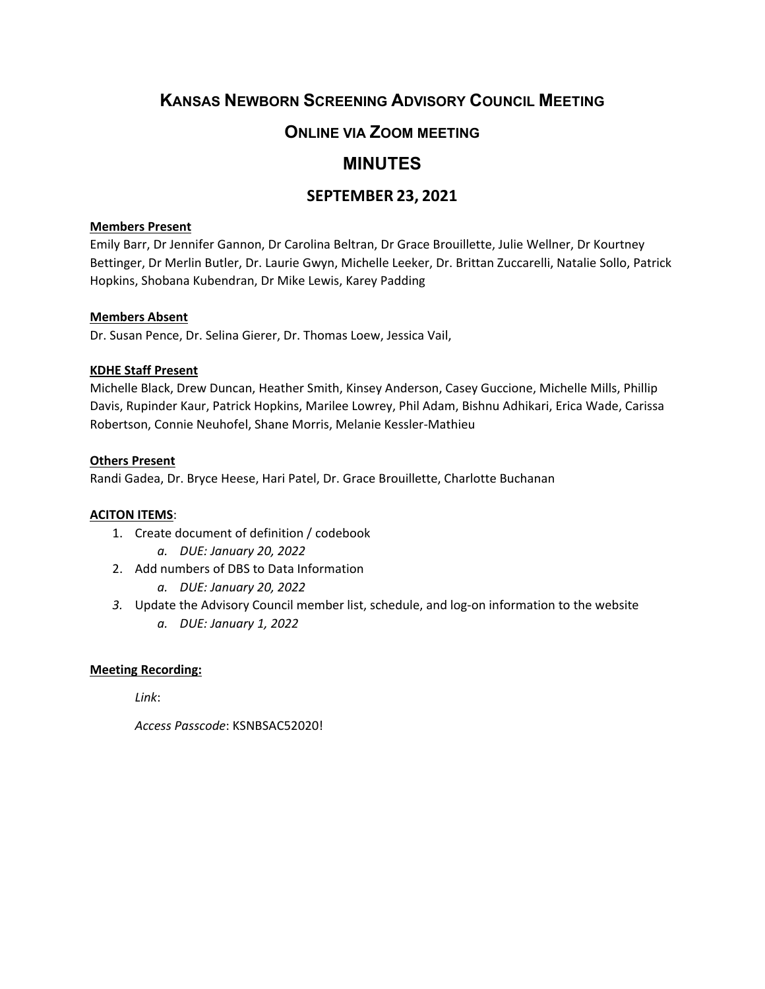# **KANSAS NEWBORN SCREENING ADVISORY COUNCIL MEETING**

## **ONLINE VIA ZOOM MEETING**

# **MINUTES**

## **SEPTEMBER 23, 2021**

#### **Members Present**

Emily Barr, Dr Jennifer Gannon, Dr Carolina Beltran, Dr Grace Brouillette, Julie Wellner, Dr Kourtney Bettinger, Dr Merlin Butler, Dr. Laurie Gwyn, Michelle Leeker, Dr. Brittan Zuccarelli, Natalie Sollo, Patrick Hopkins, Shobana Kubendran, Dr Mike Lewis, Karey Padding

## **Members Absent**

Dr. Susan Pence, Dr. Selina Gierer, Dr. Thomas Loew, Jessica Vail,

## **KDHE Staff Present**

Michelle Black, Drew Duncan, Heather Smith, Kinsey Anderson, Casey Guccione, Michelle Mills, Phillip Davis, Rupinder Kaur, Patrick Hopkins, Marilee Lowrey, Phil Adam, Bishnu Adhikari, Erica Wade, Carissa Robertson, Connie Neuhofel, Shane Morris, Melanie Kessler-Mathieu

## **Others Present**

Randi Gadea, Dr. Bryce Heese, Hari Patel, Dr. Grace Brouillette, Charlotte Buchanan

## **ACITON ITEMS**:

- 1. Create document of definition / codebook
	- *a. DUE: January 20, 2022*
- 2. Add numbers of DBS to Data Information
	- *a. DUE: January 20, 2022*
- *3.* Update the Advisory Council member list, schedule, and log-on information to the website *a. DUE: January 1, 2022*

#### **Meeting Recording:**

*Link*:

*Access Passcode*: KSNBSAC52020!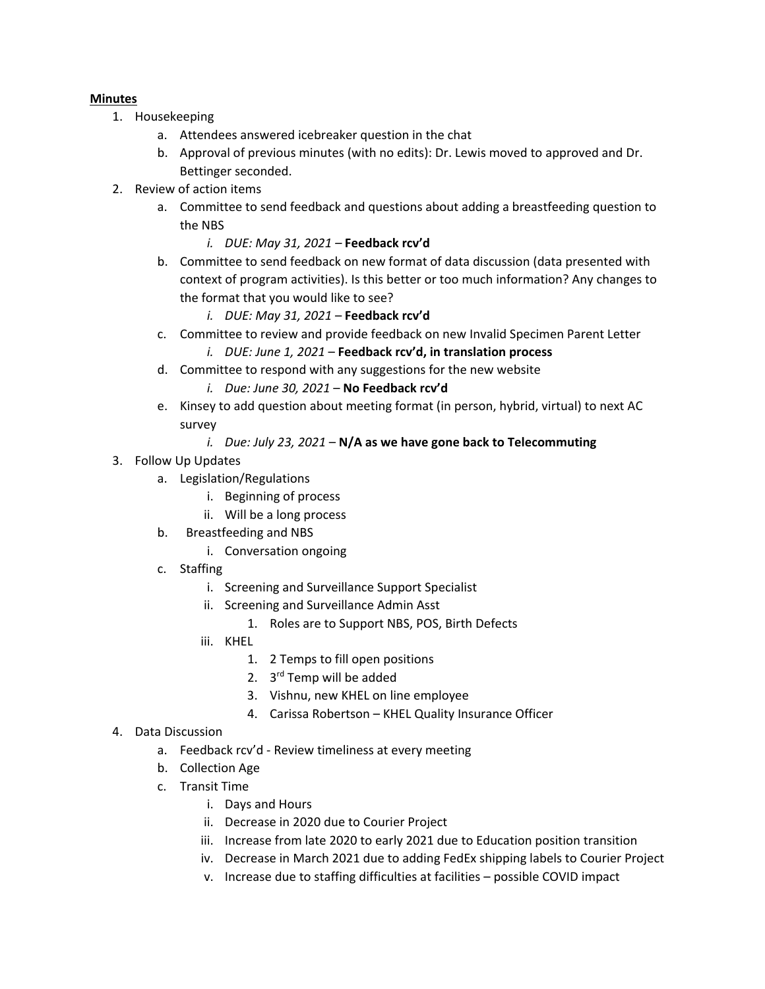## **Minutes**

- 1. Housekeeping
	- a. Attendees answered icebreaker question in the chat
	- b. Approval of previous minutes (with no edits): Dr. Lewis moved to approved and Dr. Bettinger seconded.
- 2. Review of action items
	- a. Committee to send feedback and questions about adding a breastfeeding question to the NBS

## *i. DUE: May 31, 2021 –* **Feedback rcv'd**

- b. Committee to send feedback on new format of data discussion (data presented with context of program activities). Is this better or too much information? Any changes to the format that you would like to see?
	- *i. DUE: May 31, 2021* **Feedback rcv'd**
- c. Committee to review and provide feedback on new Invalid Specimen Parent Letter *i. DUE: June 1, 2021* – **Feedback rcv'd, in translation process**
- d. Committee to respond with any suggestions for the new website
	- *i. Due: June 30, 2021* **No Feedback rcv'd**
- e. Kinsey to add question about meeting format (in person, hybrid, virtual) to next AC survey

## *i. Due: July 23, 2021* – **N/A as we have gone back to Telecommuting**

- 3. Follow Up Updates
	- a. Legislation/Regulations
		- i. Beginning of process
		- ii. Will be a long process
	- b. Breastfeeding and NBS
		- i. Conversation ongoing
	- c. Staffing
		- i. Screening and Surveillance Support Specialist
		- ii. Screening and Surveillance Admin Asst
			- 1. Roles are to Support NBS, POS, Birth Defects
		- iii. KHEL
			- 1. 2 Temps to fill open positions
			- 2. 3<sup>rd</sup> Temp will be added
			- 3. Vishnu, new KHEL on line employee
			- 4. Carissa Robertson KHEL Quality Insurance Officer

#### 4. Data Discussion

- a. Feedback rcv'd Review timeliness at every meeting
- b. Collection Age
- c. Transit Time
	- i. Days and Hours
	- ii. Decrease in 2020 due to Courier Project
	- iii. Increase from late 2020 to early 2021 due to Education position transition
	- iv. Decrease in March 2021 due to adding FedEx shipping labels to Courier Project
	- v. Increase due to staffing difficulties at facilities possible COVID impact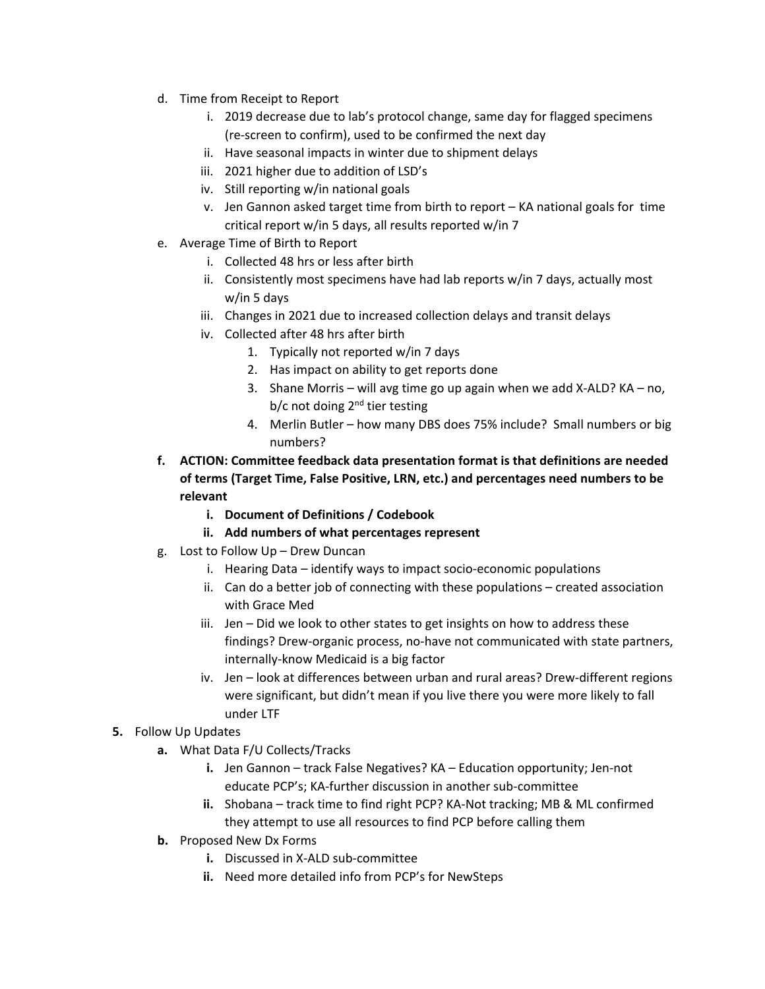- d. Time from Receipt to Report
	- i. 2019 decrease due to lab's protocol change, same day for flagged specimens (re-screen to confirm), used to be confirmed the next day
	- ii. Have seasonal impacts in winter due to shipment delays
	- iii. 2021 higher due to addition of LSD's
	- iv. Still reporting w/in national goals
	- v. Jen Gannon asked target time from birth to report KA national goals for time critical report w/in 5 days, all results reported w/in 7
- e. Average Time of Birth to Report
	- i. Collected 48 hrs or less after birth
	- ii. Consistently most specimens have had lab reports w/in 7 days, actually most w/in 5 days
	- iii. Changes in 2021 due to increased collection delays and transit delays
	- iv. Collected after 48 hrs after birth
		- 1. Typically not reported w/in 7 days
		- 2. Has impact on ability to get reports done
		- 3. Shane Morris will avg time go up again when we add X-ALD? KA no, b/c not doing  $2^{nd}$  tier testing
		- 4. Merlin Butler how many DBS does 75% include? Small numbers or big numbers?
- **f. ACTION: Committee feedback data presentation format is that definitions are needed of terms (Target Time, False Positive, LRN, etc.) and percentages need numbers to be relevant**
	- **i. Document of Definitions / Codebook**
	- **ii. Add numbers of what percentages represent**
- g. Lost to Follow Up Drew Duncan
	- i. Hearing Data identify ways to impact socio-economic populations
	- ii. Can do a better job of connecting with these populations created association with Grace Med
	- iii. Jen Did we look to other states to get insights on how to address these findings? Drew-organic process, no-have not communicated with state partners, internally-know Medicaid is a big factor
	- iv. Jen look at differences between urban and rural areas? Drew-different regions were significant, but didn't mean if you live there you were more likely to fall under LTF

## **5.** Follow Up Updates

- **a.** What Data F/U Collects/Tracks
	- **i.** Jen Gannon track False Negatives? KA Education opportunity; Jen-not educate PCP's; KA-further discussion in another sub-committee
	- **ii.** Shobana track time to find right PCP? KA-Not tracking; MB & ML confirmed they attempt to use all resources to find PCP before calling them
- **b.** Proposed New Dx Forms
	- **i.** Discussed in X-ALD sub-committee
	- **ii.** Need more detailed info from PCP's for NewSteps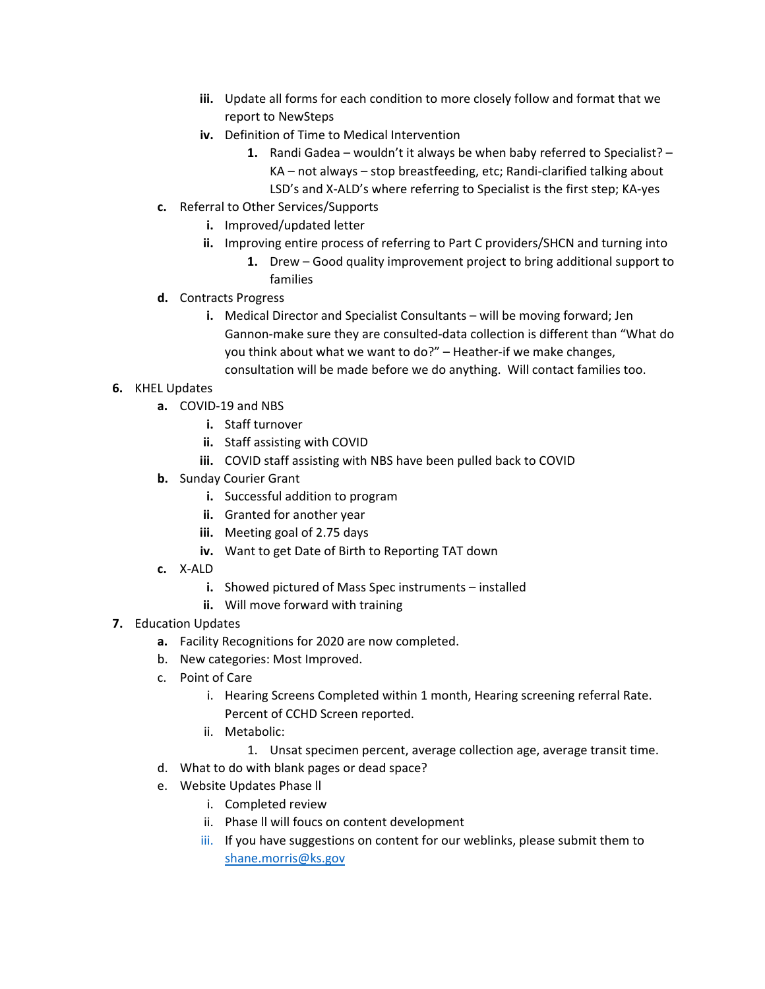- **iii.** Update all forms for each condition to more closely follow and format that we report to NewSteps
- **iv.** Definition of Time to Medical Intervention
	- **1.** Randi Gadea wouldn't it always be when baby referred to Specialist? KA – not always – stop breastfeeding, etc; Randi-clarified talking about LSD's and X-ALD's where referring to Specialist is the first step; KA-yes
- **c.** Referral to Other Services/Supports
	- **i.** Improved/updated letter
	- **ii.** Improving entire process of referring to Part C providers/SHCN and turning into
		- **1.** Drew Good quality improvement project to bring additional support to families
- **d.** Contracts Progress
	- **i.** Medical Director and Specialist Consultants will be moving forward; Jen Gannon-make sure they are consulted-data collection is different than "What do you think about what we want to do?" – Heather-if we make changes, consultation will be made before we do anything. Will contact families too.

## **6.** KHEL Updates

- **a.** COVID-19 and NBS
	- **i.** Staff turnover
	- **ii.** Staff assisting with COVID
	- **iii.** COVID staff assisting with NBS have been pulled back to COVID
- **b.** Sunday Courier Grant
	- **i.** Successful addition to program
	- **ii.** Granted for another year
	- **iii.** Meeting goal of 2.75 days
	- **iv.** Want to get Date of Birth to Reporting TAT down
- **c.** X-ALD
	- **i.** Showed pictured of Mass Spec instruments installed
	- **ii.** Will move forward with training
- **7.** Education Updates
	- **a.** Facility Recognitions for 2020 are now completed.
	- b. New categories: Most Improved.
	- c. Point of Care
		- i. Hearing Screens Completed within 1 month, Hearing screening referral Rate. Percent of CCHD Screen reported.
		- ii. Metabolic:
			- 1. Unsat specimen percent, average collection age, average transit time.
	- d. What to do with blank pages or dead space?
	- e. Website Updates Phase ll
		- i. Completed review
		- ii. Phase ll will foucs on content development
		- iii. If you have suggestions on content for our weblinks, please submit them to [shane.morris@ks.gov](mailto:shane.morris@ks.gov)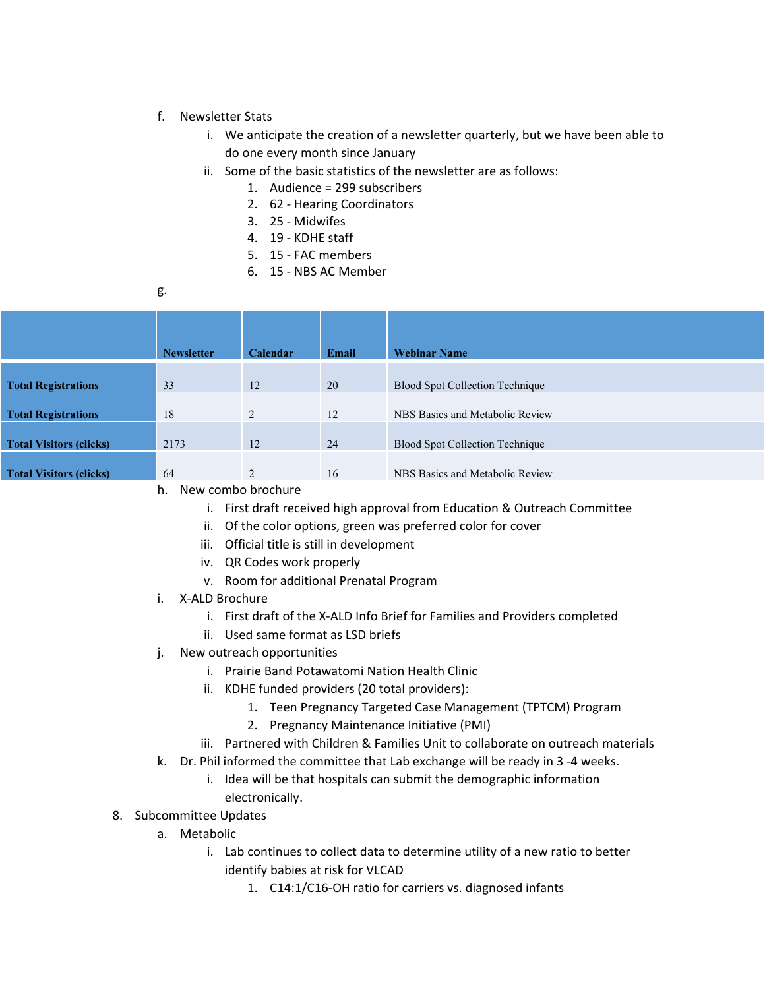## f. Newsletter Stats

- i. We anticipate the creation of a newsletter quarterly, but we have been able to do one every month since January
- ii. Some of the basic statistics of the newsletter are as follows:
	- 1. Audience = 299 subscribers
	- 2. 62 Hearing Coordinators
	- 3. 25 Midwifes
	- 4. 19 KDHE staff
	- 5. 15 FAC members
	- 6. 15 NBS AC Member

g.

|                                | <b>Newsletter</b> | <b>Calendar</b> | <b>Email</b> | <b>Webinar Name</b>             |
|--------------------------------|-------------------|-----------------|--------------|---------------------------------|
|                                |                   |                 |              |                                 |
| <b>Total Registrations</b>     | 33                | 12              | 20           | Blood Spot Collection Technique |
|                                |                   |                 |              |                                 |
| <b>Total Registrations</b>     | 18                | $\overline{2}$  | 12           | NBS Basics and Metabolic Review |
| <b>Total Visitors (clicks)</b> | 2173              | 12              | 24           | Blood Spot Collection Technique |
|                                |                   |                 |              |                                 |
| <b>Total Visitors (clicks)</b> | 64                | $\overline{2}$  | 16           | NBS Basics and Metabolic Review |

## h. New combo brochure

- i. First draft received high approval from Education & Outreach Committee
- ii. Of the color options, green was preferred color for cover
- iii. Official title is still in development
- iv. QR Codes work properly
- v. Room for additional Prenatal Program
- i. X-ALD Brochure
	- i. First draft of the X-ALD Info Brief for Families and Providers completed
	- ii. Used same format as LSD briefs
- j. New outreach opportunities
	- i. Prairie Band Potawatomi Nation Health Clinic
	- ii. KDHE funded providers (20 total providers):
		- 1. Teen Pregnancy Targeted Case Management (TPTCM) Program
		- 2. Pregnancy Maintenance Initiative (PMI)
	- iii. Partnered with Children & Families Unit to collaborate on outreach materials
- k. Dr. Phil informed the committee that Lab exchange will be ready in 3 -4 weeks.
	- i. Idea will be that hospitals can submit the demographic information electronically.
- 8. Subcommittee Updates
	- a. Metabolic
		- i. Lab continues to collect data to determine utility of a new ratio to better identify babies at risk for VLCAD
			- 1. C14:1/C16-OH ratio for carriers vs. diagnosed infants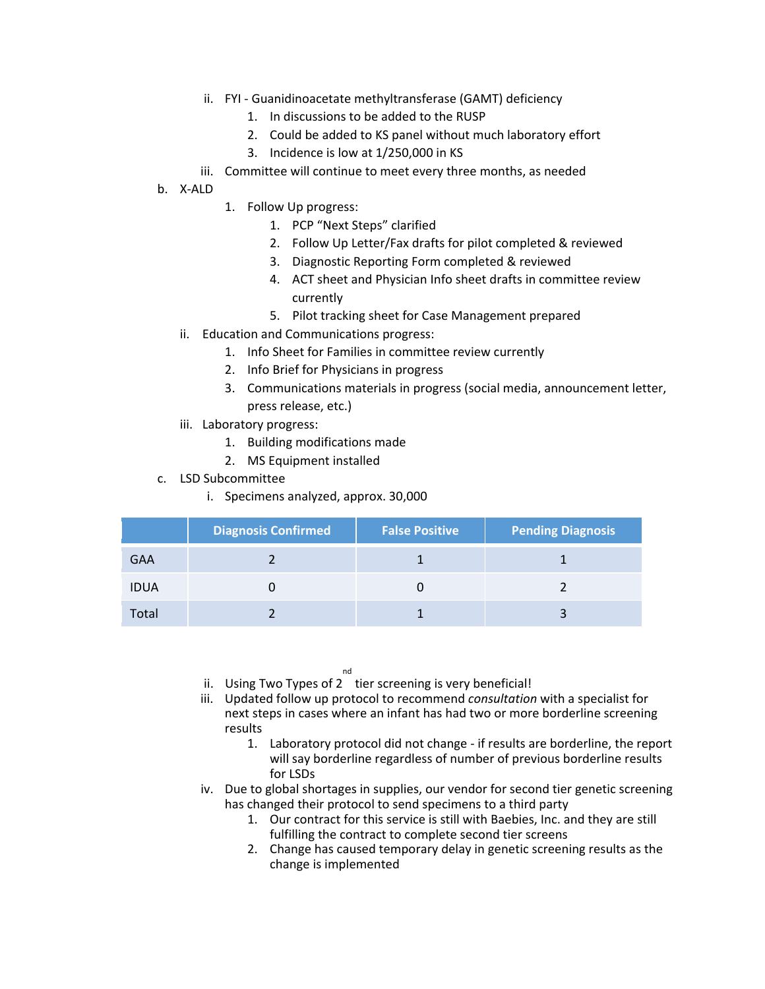- ii. FYI Guanidinoacetate methyltransferase (GAMT) deficiency
	- 1. In discussions to be added to the RUSP
	- 2. Could be added to KS panel without much laboratory effort
	- 3. Incidence is low at 1/250,000 in KS
- iii. Committee will continue to meet every three months, as needed
- b. X-ALD
- 1. Follow Up progress:
	- 1. PCP "Next Steps" clarified
	- 2. Follow Up Letter/Fax drafts for pilot completed & reviewed
	- 3. Diagnostic Reporting Form completed & reviewed
	- 4. ACT sheet and Physician Info sheet drafts in committee review currently
	- 5. Pilot tracking sheet for Case Management prepared
- ii. Education and Communications progress:
	- 1. Info Sheet for Families in committee review currently
	- 2. Info Brief for Physicians in progress
	- 3. Communications materials in progress (social media, announcement letter, press release, etc.)
- iii. Laboratory progress:
	- 1. Building modifications made
	- 2. MS Equipment installed
- c. LSD Subcommittee
	- i. Specimens analyzed, approx. 30,000

|             | <b>Diagnosis Confirmed</b> | <b>False Positive</b> | <b>Pending Diagnosis</b> |
|-------------|----------------------------|-----------------------|--------------------------|
| <b>GAA</b>  |                            |                       |                          |
| <b>IDUA</b> |                            |                       |                          |
| Total       |                            |                       |                          |

nd

- ii. Using Two Types of 2 tier screening is very beneficial!
- iii. Updated follow up protocol to recommend *consultation* with a specialist for next steps in cases where an infant has had two or more borderline screening results
	- 1. Laboratory protocol did not change if results are borderline, the report will say borderline regardless of number of previous borderline results for LSDs
- iv. Due to global shortages in supplies, our vendor for second tier genetic screening has changed their protocol to send specimens to a third party
	- 1. Our contract for this service is still with Baebies, Inc. and they are still fulfilling the contract to complete second tier screens
	- 2. Change has caused temporary delay in genetic screening results as the change is implemented